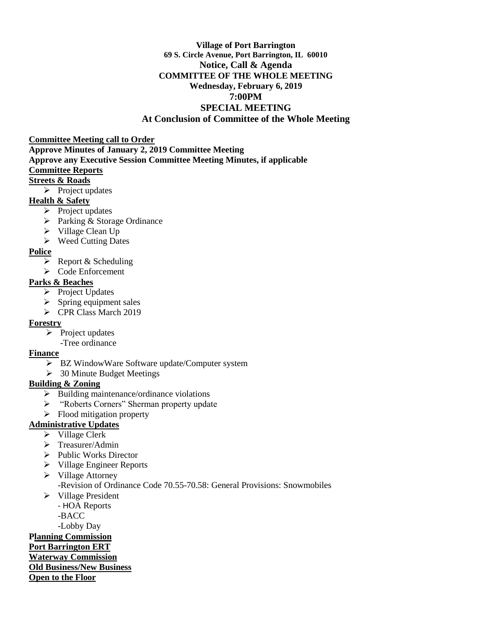#### **Village of Port Barrington 69 S. Circle Avenue, Port Barrington, IL 60010 Notice, Call & Agenda COMMITTEE OF THE WHOLE MEETING Wednesday, February 6, 2019 7:00PM SPECIAL MEETING At Conclusion of Committee of the Whole Meeting**

#### **Committee Meeting call to Order**

- **Approve Minutes of January 2, 2019 Committee Meeting Approve any Executive Session Committee Meeting Minutes, if applicable Committee Reports Streets & Roads**
	- $\triangleright$  Project updates

# **Health & Safety**

- $\triangleright$  Project updates
- ▶ Parking & Storage Ordinance
- $\triangleright$  Village Clean Up
- $\triangleright$  Weed Cutting Dates

# **Police**

- $\triangleright$  Report & Scheduling
- $\triangleright$  Code Enforcement

# **Parks & Beaches**

- $\triangleright$  Project Updates
- $\triangleright$  Spring equipment sales
- P CPR Class March 2019

# **Forestry**

- $\triangleright$  Project updates
- -Tree ordinance

#### **Finance**

- BZ WindowWare Software update/Computer system
- $\geq$  30 Minute Budget Meetings

# **Building & Zoning**

- $\triangleright$  Building maintenance/ordinance violations
- "Roberts Corners" Sherman property update
- $\triangleright$  Flood mitigation property

# **Administrative Updates**

- $\triangleright$  Village Clerk
- > Treasurer/Admin
- $\triangleright$  Public Works Director
- $\triangleright$  Village Engineer Reports
- **►** Village Attorney
	- -Revision of Ordinance Code 70.55-70.58: General Provisions: Snowmobiles
- $\triangleright$  Village President
	- HOA Reports
	- -BACC
	- -Lobby Day

# **Planning Commission**

**Port Barrington ERT** 

# **Waterway Commission**

**Old Business/New Business**

**Open to the Floor**